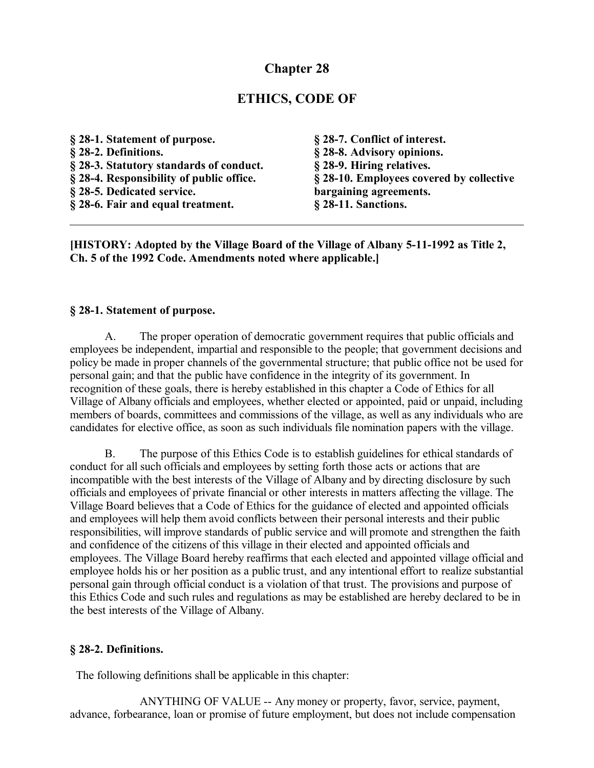# **Chapter 28**

# **ETHICS, CODE OF**

| § 28-1. Statement of purpose.            | § 28-7. Conflict of interest.            |
|------------------------------------------|------------------------------------------|
| § 28-2. Definitions.                     | § 28-8. Advisory opinions.               |
| § 28-3. Statutory standards of conduct.  | § 28-9. Hiring relatives.                |
| § 28-4. Responsibility of public office. | § 28-10. Employees covered by collective |
| § 28-5. Dedicated service.               | bargaining agreements.                   |
| § 28-6. Fair and equal treatment.        | $§$ 28-11. Sanctions.                    |

**[HISTORY: Adopted by the Village Board of the Village of Albany 5-11-1992 as Title 2, Ch. 5 of the 1992 Code. Amendments noted where applicable.]**

#### **§ 28-1. Statement of purpose.**

A. The proper operation of democratic government requires that public officials and employees be independent, impartial and responsible to the people; that government decisions and policy be made in proper channels of the governmental structure; that public office not be used for personal gain; and that the public have confidence in the integrity of its government. In recognition of these goals, there is hereby established in this chapter a Code of Ethics for all Village of Albany officials and employees, whether elected or appointed, paid or unpaid, including members of boards, committees and commissions of the village, as well as any individuals who are candidates for elective office, as soon as such individuals file nomination papers with the village.

B. The purpose of this Ethics Code is to establish guidelines for ethical standards of conduct for all such officials and employees by setting forth those acts or actions that are incompatible with the best interests of the Village of Albany and by directing disclosure by such officials and employees of private financial or other interests in matters affecting the village. The Village Board believes that a Code of Ethics for the guidance of elected and appointed officials and employees will help them avoid conflicts between their personal interests and their public responsibilities, will improve standards of public service and will promote and strengthen the faith and confidence of the citizens of this village in their elected and appointed officials and employees. The Village Board hereby reaffirms that each elected and appointed village official and employee holds his or her position as a public trust, and any intentional effort to realize substantial personal gain through official conduct is a violation of that trust. The provisions and purpose of this Ethics Code and such rules and regulations as may be established are hereby declared to be in the best interests of the Village of Albany.

#### **§ 28-2. Definitions.**

The following definitions shall be applicable in this chapter:

ANYTHING OF VALUE -- Any money or property, favor, service, payment, advance, forbearance, loan or promise of future employment, but does not include compensation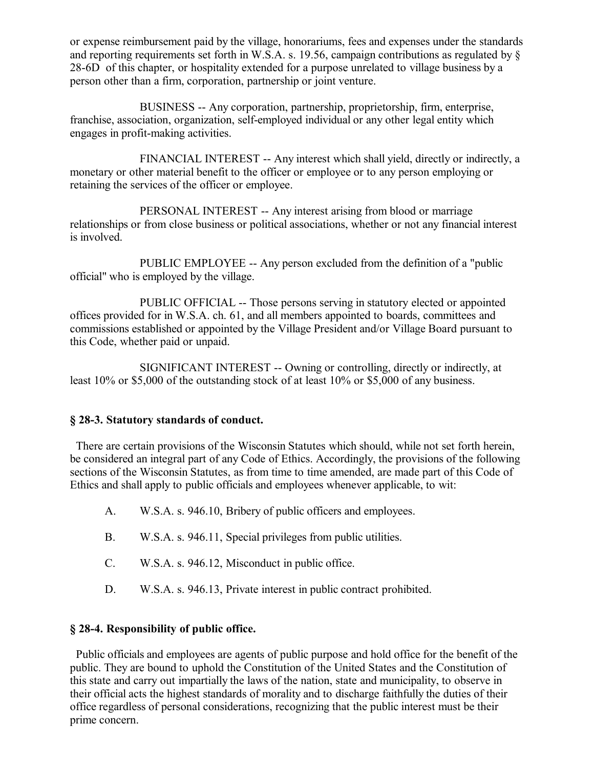or expense reimbursement paid by the village, honorariums, fees and expenses under the standards and reporting requirements set forth in W.S.A. s. 19.56, campaign contributions as regulated by § 28-6D of this chapter, or hospitality extended for a purpose unrelated to village business by a person other than a firm, corporation, partnership or joint venture.

BUSINESS -- Any corporation, partnership, proprietorship, firm, enterprise, franchise, association, organization, self-employed individual or any other legal entity which engages in profit-making activities.

FINANCIAL INTEREST -- Any interest which shall yield, directly or indirectly, a monetary or other material benefit to the officer or employee or to any person employing or retaining the services of the officer or employee.

PERSONAL INTEREST -- Any interest arising from blood or marriage relationships or from close business or political associations, whether or not any financial interest is involved.

PUBLIC EMPLOYEE -- Any person excluded from the definition of a "public official" who is employed by the village.

PUBLIC OFFICIAL -- Those persons serving in statutory elected or appointed offices provided for in W.S.A. ch. 61, and all members appointed to boards, committees and commissions established or appointed by the Village President and/or Village Board pursuant to this Code, whether paid or unpaid.

SIGNIFICANT INTEREST -- Owning or controlling, directly or indirectly, at least 10% or \$5,000 of the outstanding stock of at least 10% or \$5,000 of any business.

### **§ 28-3. Statutory standards of conduct.**

 There are certain provisions of the Wisconsin Statutes which should, while not set forth herein, be considered an integral part of any Code of Ethics. Accordingly, the provisions of the following sections of the Wisconsin Statutes, as from time to time amended, are made part of this Code of Ethics and shall apply to public officials and employees whenever applicable, to wit:

- A. W.S.A. s. 946.10, Bribery of public officers and employees.
- B. W.S.A. s. 946.11, Special privileges from public utilities.
- C. W.S.A. s. 946.12, Misconduct in public office.
- D. W.S.A. s. 946.13, Private interest in public contract prohibited.

### **§ 28-4. Responsibility of public office.**

 Public officials and employees are agents of public purpose and hold office for the benefit of the public. They are bound to uphold the Constitution of the United States and the Constitution of this state and carry out impartially the laws of the nation, state and municipality, to observe in their official acts the highest standards of morality and to discharge faithfully the duties of their office regardless of personal considerations, recognizing that the public interest must be their prime concern.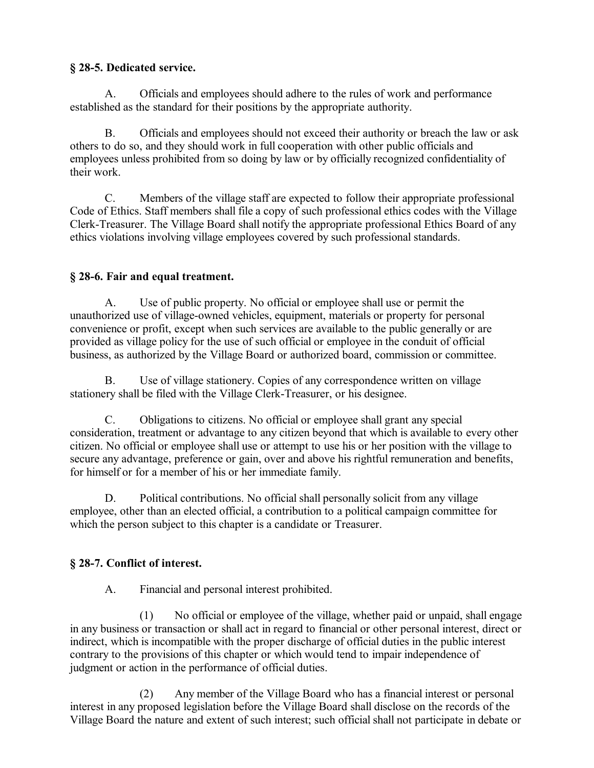# **§ 28-5. Dedicated service.**

A. Officials and employees should adhere to the rules of work and performance established as the standard for their positions by the appropriate authority.

B. Officials and employees should not exceed their authority or breach the law or ask others to do so, and they should work in full cooperation with other public officials and employees unless prohibited from so doing by law or by officially recognized confidentiality of their work.

C. Members of the village staff are expected to follow their appropriate professional Code of Ethics. Staff members shall file a copy of such professional ethics codes with the Village Clerk-Treasurer. The Village Board shall notify the appropriate professional Ethics Board of any ethics violations involving village employees covered by such professional standards.

## **§ 28-6. Fair and equal treatment.**

A. Use of public property. No official or employee shall use or permit the unauthorized use of village-owned vehicles, equipment, materials or property for personal convenience or profit, except when such services are available to the public generally or are provided as village policy for the use of such official or employee in the conduit of official business, as authorized by the Village Board or authorized board, commission or committee.

B. Use of village stationery. Copies of any correspondence written on village stationery shall be filed with the Village Clerk-Treasurer, or his designee.

C. Obligations to citizens. No official or employee shall grant any special consideration, treatment or advantage to any citizen beyond that which is available to every other citizen. No official or employee shall use or attempt to use his or her position with the village to secure any advantage, preference or gain, over and above his rightful remuneration and benefits, for himself or for a member of his or her immediate family.

D. Political contributions. No official shall personally solicit from any village employee, other than an elected official, a contribution to a political campaign committee for which the person subject to this chapter is a candidate or Treasurer.

# **§ 28-7. Conflict of interest.**

A. Financial and personal interest prohibited.

(1) No official or employee of the village, whether paid or unpaid, shall engage in any business or transaction or shall act in regard to financial or other personal interest, direct or indirect, which is incompatible with the proper discharge of official duties in the public interest contrary to the provisions of this chapter or which would tend to impair independence of judgment or action in the performance of official duties.

(2) Any member of the Village Board who has a financial interest or personal interest in any proposed legislation before the Village Board shall disclose on the records of the Village Board the nature and extent of such interest; such official shall not participate in debate or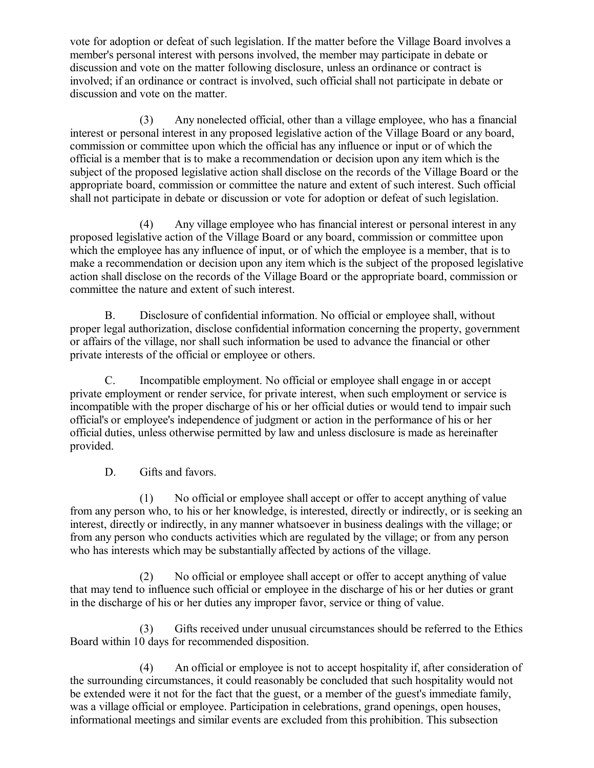vote for adoption or defeat of such legislation. If the matter before the Village Board involves a member's personal interest with persons involved, the member may participate in debate or discussion and vote on the matter following disclosure, unless an ordinance or contract is involved; if an ordinance or contract is involved, such official shall not participate in debate or discussion and vote on the matter.

(3) Any nonelected official, other than a village employee, who has a financial interest or personal interest in any proposed legislative action of the Village Board or any board, commission or committee upon which the official has any influence or input or of which the official is a member that is to make a recommendation or decision upon any item which is the subject of the proposed legislative action shall disclose on the records of the Village Board or the appropriate board, commission or committee the nature and extent of such interest. Such official shall not participate in debate or discussion or vote for adoption or defeat of such legislation.

(4) Any village employee who has financial interest or personal interest in any proposed legislative action of the Village Board or any board, commission or committee upon which the employee has any influence of input, or of which the employee is a member, that is to make a recommendation or decision upon any item which is the subject of the proposed legislative action shall disclose on the records of the Village Board or the appropriate board, commission or committee the nature and extent of such interest.

B. Disclosure of confidential information. No official or employee shall, without proper legal authorization, disclose confidential information concerning the property, government or affairs of the village, nor shall such information be used to advance the financial or other private interests of the official or employee or others.

C. Incompatible employment. No official or employee shall engage in or accept private employment or render service, for private interest, when such employment or service is incompatible with the proper discharge of his or her official duties or would tend to impair such official's or employee's independence of judgment or action in the performance of his or her official duties, unless otherwise permitted by law and unless disclosure is made as hereinafter provided.

D. Gifts and favors.

(1) No official or employee shall accept or offer to accept anything of value from any person who, to his or her knowledge, is interested, directly or indirectly, or is seeking an interest, directly or indirectly, in any manner whatsoever in business dealings with the village; or from any person who conducts activities which are regulated by the village; or from any person who has interests which may be substantially affected by actions of the village.

(2) No official or employee shall accept or offer to accept anything of value that may tend to influence such official or employee in the discharge of his or her duties or grant in the discharge of his or her duties any improper favor, service or thing of value.

(3) Gifts received under unusual circumstances should be referred to the Ethics Board within 10 days for recommended disposition.

(4) An official or employee is not to accept hospitality if, after consideration of the surrounding circumstances, it could reasonably be concluded that such hospitality would not be extended were it not for the fact that the guest, or a member of the guest's immediate family, was a village official or employee. Participation in celebrations, grand openings, open houses, informational meetings and similar events are excluded from this prohibition. This subsection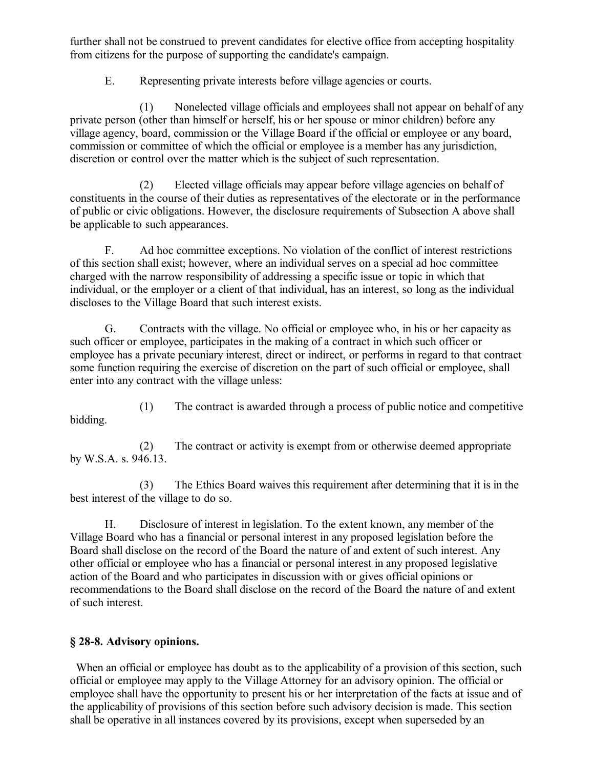further shall not be construed to prevent candidates for elective office from accepting hospitality from citizens for the purpose of supporting the candidate's campaign.

E. Representing private interests before village agencies or courts.

(1) Nonelected village officials and employees shall not appear on behalf of any private person (other than himself or herself, his or her spouse or minor children) before any village agency, board, commission or the Village Board if the official or employee or any board, commission or committee of which the official or employee is a member has any jurisdiction, discretion or control over the matter which is the subject of such representation.

(2) Elected village officials may appear before village agencies on behalf of constituents in the course of their duties as representatives of the electorate or in the performance of public or civic obligations. However, the disclosure requirements of Subsection A above shall be applicable to such appearances.

F. Ad hoc committee exceptions. No violation of the conflict of interest restrictions of this section shall exist; however, where an individual serves on a special ad hoc committee charged with the narrow responsibility of addressing a specific issue or topic in which that individual, or the employer or a client of that individual, has an interest, so long as the individual discloses to the Village Board that such interest exists.

G. Contracts with the village. No official or employee who, in his or her capacity as such officer or employee, participates in the making of a contract in which such officer or employee has a private pecuniary interest, direct or indirect, or performs in regard to that contract some function requiring the exercise of discretion on the part of such official or employee, shall enter into any contract with the village unless:

(1) The contract is awarded through a process of public notice and competitive bidding.

(2) The contract or activity is exempt from or otherwise deemed appropriate by W.S.A. s. 946.13.

(3) The Ethics Board waives this requirement after determining that it is in the best interest of the village to do so.

H. Disclosure of interest in legislation. To the extent known, any member of the Village Board who has a financial or personal interest in any proposed legislation before the Board shall disclose on the record of the Board the nature of and extent of such interest. Any other official or employee who has a financial or personal interest in any proposed legislative action of the Board and who participates in discussion with or gives official opinions or recommendations to the Board shall disclose on the record of the Board the nature of and extent of such interest.

# **§ 28-8. Advisory opinions.**

When an official or employee has doubt as to the applicability of a provision of this section, such official or employee may apply to the Village Attorney for an advisory opinion. The official or employee shall have the opportunity to present his or her interpretation of the facts at issue and of the applicability of provisions of this section before such advisory decision is made. This section shall be operative in all instances covered by its provisions, except when superseded by an